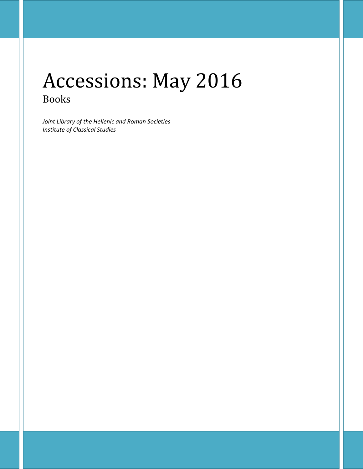# Accessions: May 2016 Books

*Joint Library of the Hellenic and Roman Societies Institute of Classical Studies*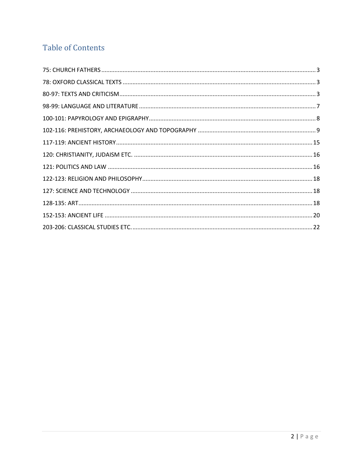## **Table of Contents**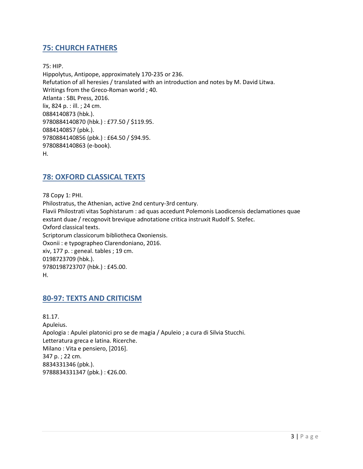## <span id="page-2-0"></span>**75: CHURCH FATHERS**

75: HIP.

Hippolytus, Antipope, approximately 170-235 or 236. Refutation of all heresies / translated with an introduction and notes by M. David Litwa. Writings from the Greco-Roman world ; 40. Atlanta : SBL Press, 2016. lix, 824 p. : ill. ; 24 cm. 0884140873 (hbk.). 9780884140870 (hbk.) : £77.50 / \$119.95. 0884140857 (pbk.). 9780884140856 (pbk.) : £64.50 / \$94.95. 9780884140863 (e-book). H.

## <span id="page-2-1"></span>**78: OXFORD CLASSICAL TEXTS**

78 Copy 1: PHI. Philostratus, the Athenian, active 2nd century-3rd century. Flavii Philostrati vitas Sophistarum : ad quas accedunt Polemonis Laodicensis declamationes quae exstant duae / recognovit brevique adnotatione critica instruxit Rudolf S. Stefec. Oxford classical texts. Scriptorum classicorum bibliotheca Oxoniensis. Oxonii : e typographeo Clarendoniano, 2016. xiv, 177 p. : geneal. tables ; 19 cm. 0198723709 (hbk.). 9780198723707 (hbk.) : £45.00. H.

## <span id="page-2-2"></span>**80-97: TEXTS AND CRITICISM**

81.17. Apuleius. Apologia : Apulei platonici pro se de magia / Apuleio ; a cura di Silvia Stucchi. Letteratura greca e latina. Ricerche. Milano : Vita e pensiero, [2016]. 347 p. ; 22 cm. 8834331346 (pbk.). 9788834331347 (pbk.) : €26.00.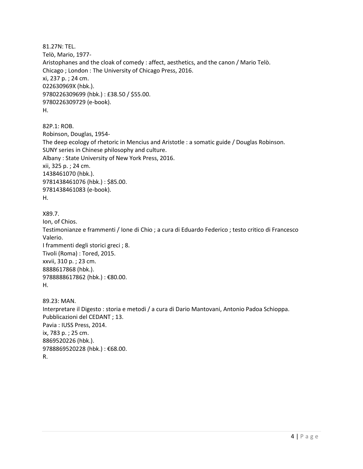81.27N: TEL. Telò, Mario, 1977- Aristophanes and the cloak of comedy : affect, aesthetics, and the canon / Mario Telò. Chicago ; London : The University of Chicago Press, 2016. xi, 237 p. ; 24 cm. 022630969X (hbk.). 9780226309699 (hbk.) : £38.50 / \$55.00. 9780226309729 (e-book). H.

82P.1: ROB. Robinson, Douglas, 1954- The deep ecology of rhetoric in Mencius and Aristotle : a somatic guide / Douglas Robinson. SUNY series in Chinese philosophy and culture. Albany : State University of New York Press, 2016. xii, 325 p. ; 24 cm. 1438461070 (hbk.). 9781438461076 (hbk.) : \$85.00. 9781438461083 (e-book). H.

```
X89.7.
```
Ion, of Chios. Testimonianze e frammenti / Ione di Chio ; a cura di Eduardo Federico ; testo critico di Francesco Valerio. I frammenti degli storici greci ; 8. Tivoli (Roma) : Tored, 2015. xxvii, 310 p. ; 23 cm. 8888617868 (hbk.). 9788888617862 (hbk.) : €80.00. H. 89.23: MAN.

Interpretare il Digesto : storia e metodi / a cura di Dario Mantovani, Antonio Padoa Schioppa. Pubblicazioni del CEDANT ; 13. Pavia : IUSS Press, 2014. ix, 783 p. ; 25 cm. 8869520226 (hbk.). 9788869520228 (hbk.) : €68.00. R.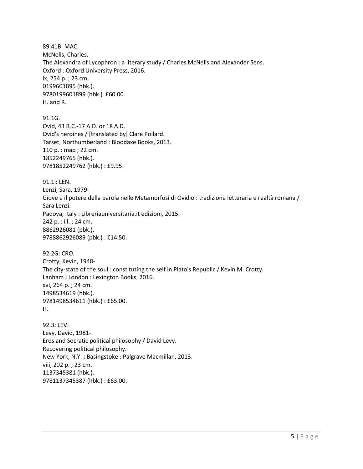89.41B: MAC. McNelis, Charles. The Alexandra of Lycophron : a literary study / Charles McNelis and Alexander Sens. Oxford : Oxford University Press, 2016. ix, 254 p. ; 23 cm. 0199601895 (hbk.). 9780199601899 (hbk.) £60.00. H. and R. 91.1G. Ovid, 43 B.C.-17 A.D. or 18 A.D. Ovid's heroines / [translated by] Clare Pollard. Tarset, Northumberland : Bloodaxe Books, 2013. 110 p. : map ; 22 cm. 1852249765 (hbk.). 9781852249762 (hbk.) : £9.95. 91.1i: LEN. Lenzi, Sara, 1979- Giove e il potere della parola nelle Metamorfosi di Ovidio : tradizione letteraria e realtà romana / Sara Lenzi. Padova, Italy : Libreriauniversitaria.it edizioni, 2015. 242 p. : ill. ; 24 cm. 8862926081 (pbk.). 9788862926089 (pbk.) : €14.50. 92.2G: CRO. Crotty, Kevin, 1948- The city-state of the soul : constituting the self in Plato's Republic / Kevin M. Crotty. Lanham ; London : Lexington Books, 2016. xvi, 264 p. ; 24 cm. 1498534619 (hbk.). 9781498534611 (hbk.) : £65.00. H. 92.3: LEV. Levy, David, 1981- Eros and Socratic political philosophy / David Levy. Recovering political philosophy. New York, N.Y. ; Basingstoke : Palgrave Macmillan, 2013. viii, 202 p. ; 23 cm. 1137345381 (hbk.).

9781137345387 (hbk.) : £63.00.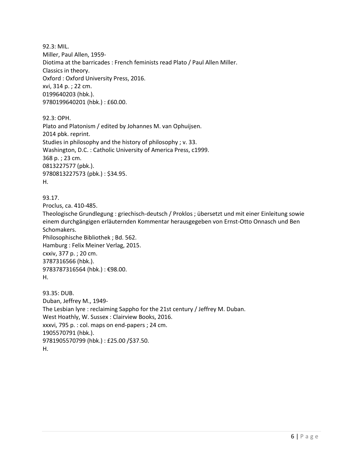92.3: MIL. Miller, Paul Allen, 1959- Diotima at the barricades : French feminists read Plato / Paul Allen Miller. Classics in theory. Oxford : Oxford University Press, 2016. xvi, 314 p. ; 22 cm. 0199640203 (hbk.). 9780199640201 (hbk.) : £60.00.

92.3: OPH. Plato and Platonism / edited by Johannes M. van Ophuijsen. 2014 pbk. reprint. Studies in philosophy and the history of philosophy ; v. 33. Washington, D.C. : Catholic University of America Press, c1999. 368 p. ; 23 cm. 0813227577 (pbk.). 9780813227573 (pbk.) : \$34.95. H.

93.17. Proclus, ca. 410-485. Theologische Grundlegung : griechisch-deutsch / Proklos ; übersetzt und mit einer Einleitung sowie einem durchgängigen erläuternden Kommentar herausgegeben von Ernst-Otto Onnasch und Ben Schomakers. Philosophische Bibliothek ; Bd. 562. Hamburg : Felix Meiner Verlag, 2015. cxxiv, 377 p. ; 20 cm. 3787316566 (hbk.). 9783787316564 (hbk.) : €98.00. H.

93.35: DUB. Duban, Jeffrey M., 1949- The Lesbian lyre : reclaiming Sappho for the 21st century / Jeffrey M. Duban. West Hoathly, W. Sussex : Clairview Books, 2016. xxxvi, 795 p. : col. maps on end-papers ; 24 cm. 1905570791 (hbk.). 9781905570799 (hbk.) : £25.00 /\$37.50. H.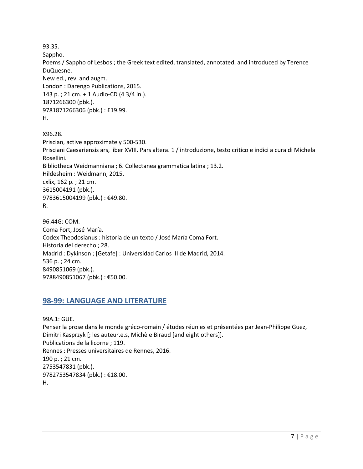93.35.

Sappho.

Poems / Sappho of Lesbos ; the Greek text edited, translated, annotated, and introduced by Terence DuQuesne.

New ed., rev. and augm. London : Darengo Publications, 2015. 143 p. ; 21 cm. + 1 Audio-CD (4 3/4 in.). 1871266300 (pbk.). 9781871266306 (pbk.) : £19.99. H.

X96.28. Priscian, active approximately 500-530. Prisciani Caesariensis ars, liber XVIII. Pars altera. 1 / introduzione, testo critico e indici a cura di Michela Rosellini. Bibliotheca Weidmanniana ; 6. Collectanea grammatica latina ; 13.2. Hildesheim : Weidmann, 2015. cxlix, 162 p. ; 21 cm. 3615004191 (pbk.). 9783615004199 (pbk.) : €49.80. R.

96.44G: COM. Coma Fort, José María. Codex Theodosianus : historia de un texto / José María Coma Fort. Historia del derecho ; 28. Madrid : Dykinson ; [Getafe] : Universidad Carlos III de Madrid, 2014. 536 p. ; 24 cm. 8490851069 (pbk.). 9788490851067 (pbk.) : €50.00.

## <span id="page-6-0"></span>**98-99: LANGUAGE AND LITERATURE**

99A.1: GUE. Penser la prose dans le monde gréco-romain / études réunies et présentées par Jean-Philippe Guez, Dimitri Kasprzyk [; les auteur.e.s, Michèle Biraud [and eight others]]. Publications de la licorne ; 119. Rennes : Presses universitaires de Rennes, 2016. 190 p. ; 21 cm. 2753547831 (pbk.). 9782753547834 (pbk.) : €18.00. H.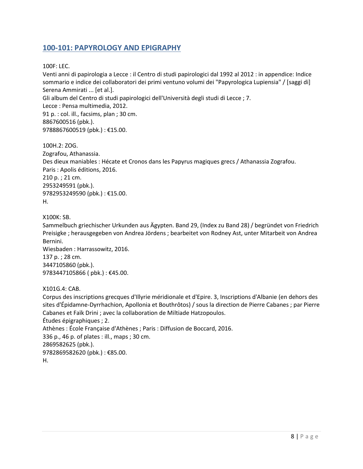## <span id="page-7-0"></span>**100-101: PAPYROLOGY AND EPIGRAPHY**

#### 100F: LEC.

Venti anni di papirologia a Lecce : il Centro di studi papirologici dal 1992 al 2012 : in appendice: Indice sommario e indice dei collaboratori dei primi ventuno volumi dei "Papyrologica Lupiensia" / [saggi di] Serena Ammirati ... [et al.]. Gli album del Centro di studi papirologici dell'Università degli studi di Lecce ; 7. Lecce : Pensa multimedia, 2012. 91 p. : col. ill., facsims, plan ; 30 cm. 8867600516 (pbk.). 9788867600519 (pbk.) : €15.00.

100H.2: ZOG. Zografou, Athanassia. Des dieux maniables : Hécate et Cronos dans les Papyrus magiques grecs / Athanassia Zografou. Paris : Apolis éditions, 2016. 210 p. ; 21 cm. 2953249591 (pbk.). 9782953249590 (pbk.) : €15.00. H.

X100K: SB.

Sammelbuch griechischer Urkunden aus Ägypten. Band 29, (Index zu Band 28) / begründet von Friedrich Preisigke ; herausgegeben von Andrea Jördens ; bearbeitet von Rodney Ast, unter Mitarbeit von Andrea Bernini.

Wiesbaden : Harrassowitz, 2016. 137 p. ; 28 cm. 3447105860 (pbk.). 9783447105866 ( pbk.) : €45.00.

#### X101G.4: CAB.

Corpus des inscriptions grecques d'Illyrie méridionale et d'Epire. 3, Inscriptions d'Albanie (en dehors des sites d'Épidamne-Dyrrhachion, Apollonia et Bouthrôtos) / sous la direction de Pierre Cabanes ; par Pierre Cabanes et Faïk Drini ; avec la collaboration de Miltiade Hatzopoulos. Études épigraphiques ; 2. Athènes : École Française d'Athènes ; Paris : Diffusion de Boccard, 2016. 336 p., 46 p. of plates : ill., maps ; 30 cm. 2869582625 (pbk.). 9782869582620 (pbk.): €85.00. H.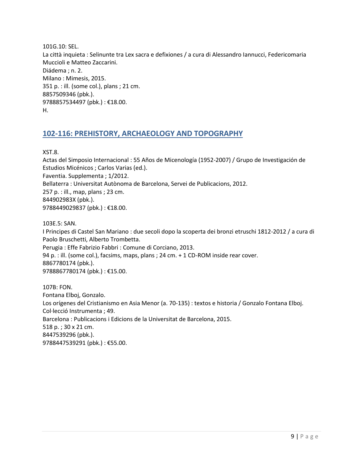101G.10: SEL. La città inquieta : Selinunte tra Lex sacra e defixiones / a cura di Alessandro Iannucci, Federicomaria Muccioli e Matteo Zaccarini. Diádema ; n. 2. Milano : Mimesis, 2015. 351 p. : ill. (some col.), plans ; 21 cm. 8857509346 (pbk.). 9788857534497 (pbk.) : €18.00. H.

## <span id="page-8-0"></span>**102-116: PREHISTORY, ARCHAEOLOGY AND TOPOGRAPHY**

XST.8.

Actas del Simposio Internacional : 55 Años de Micenología (1952-2007) / Grupo de Investigación de Estudios Micénicos ; Carlos Varias (ed.). Faventia. Supplementa ; 1/2012. Bellaterra : Universitat Autònoma de Barcelona, Servei de Publicacions, 2012. 257 p. : ill., map, plans ; 23 cm. 844902983X (pbk.). 9788449029837 (pbk.): €18.00.

103E.5: SAN.

I Principes di Castel San Mariano : due secoli dopo la scoperta dei bronzi etruschi 1812-2012 / a cura di Paolo Bruschetti, Alberto Trombetta. Perugia : Effe Fabrizio Fabbri : Comune di Corciano, 2013.

94 p. : ill. (some col.), facsims, maps, plans ; 24 cm. + 1 CD-ROM inside rear cover. 8867780174 (pbk.). 9788867780174 (pbk.) : €15.00.

107B: FON. Fontana Elboj, Gonzalo. Los orígenes del Cristianismo en Asia Menor (a. 70-135) : textos e historia / Gonzalo Fontana Elboj. Col·lecció Instrumenta ; 49. Barcelona : Publicacions i Edicions de la Universitat de Barcelona, 2015. 518 p. ; 30 x 21 cm. 8447539296 (pbk.). 9788447539291 (pbk.) : €55.00.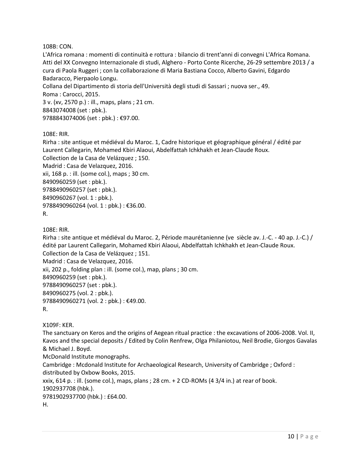108B: CON.

L'Africa romana : momenti di continuità e rottura : bilancio di trent'anni di convegni L'Africa Romana. Atti del XX Convegno Internazionale di studi, Alghero - Porto Conte Ricerche, 26-29 settembre 2013 / a cura di Paola Ruggeri ; con la collaborazione di Maria Bastiana Cocco, Alberto Gavini, Edgardo Badaracco, Pierpaolo Longu. Collana del Dipartimento di storia dell'Università degli studi di Sassari ; nuova ser., 49. Roma : Carocci, 2015. 3 v. (xv, 2570 p.) : ill., maps, plans ; 21 cm.

8843074008 (set : pbk.). 9788843074006 (set : pbk.) : €97.00.

108E: RIR.

Rirha : site antique et médiéval du Maroc. 1, Cadre historique et géographique général / édité par Laurent Callegarin, Mohamed Kbiri Alaoui, Abdelfattah Ichkhakh et Jean-Claude Roux. Collection de la Casa de Velázquez ; 150. Madrid : Casa de Velazquez, 2016. xii, 168 p. : ill. (some col.), maps ; 30 cm. 8490960259 (set : pbk.). 9788490960257 (set : pbk.). 8490960267 (vol. 1 : pbk.). 9788490960264 (vol. 1 : pbk.) : €36.00. R.

108E: RIR.

Rirha : site antique et médiéval du Maroc. 2, Période maurétanienne (ve siècle av. J.-C. - 40 ap. J.-C.) / édité par Laurent Callegarin, Mohamed Kbiri Alaoui, Abdelfattah Ichkhakh et Jean-Claude Roux. Collection de la Casa de Velázquez ; 151. Madrid : Casa de Velazquez, 2016. xii, 202 p., folding plan : ill. (some col.), map, plans ; 30 cm. 8490960259 (set : pbk.). 9788490960257 (set : pbk.). 8490960275 (vol. 2 : pbk.). 9788490960271 (vol. 2 : pbk.) : €49.00. R.

X109F: KER.

The sanctuary on Keros and the origins of Aegean ritual practice : the excavations of 2006-2008. Vol. II, Kavos and the special deposits / Edited by Colin Renfrew, Olga Philaniotou, Neil Brodie, Giorgos Gavalas & Michael J. Boyd.

McDonald Institute monographs.

Cambridge : Mcdonald Institute for Archaeological Research, University of Cambridge ; Oxford : distributed by Oxbow Books, 2015.

xxix, 614 p. : ill. (some col.), maps, plans ; 28 cm.  $+$  2 CD-ROMs (4 3/4 in.) at rear of book. 1902937708 (hbk.). 9781902937700 (hbk.) : £64.00.

H.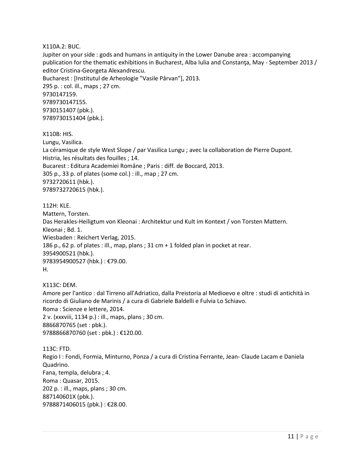X110A.2: BUC.

Jupiter on your side : gods and humans in antiquity in the Lower Danube area : accompanying publication for the thematic exhibitions in Bucharest, Alba Iulia and Constanţa, May - September 2013 / editor Cristina-Georgeta Alexandrescu. Bucharest : [Institutul de Arheologie "Vasile Pârvan"], 2013. 295 p. : col. ill., maps ; 27 cm. 9730147159.

9789730147155. 9730151407 (pbk.). 9789730151404 (pbk.).

X110B: HIS.

Lungu, Vasilica. La céramique de style West Slope / par Vasilica Lungu ; avec la collaboration de Pierre Dupont. Histria, les résultats des fouilles ; 14. Bucarest : Editura Academiei Române ; Paris : diff. de Boccard, 2013. 305 p., 33 p. of plates (some col.) : ill., map ; 27 cm. 9732720611 (hbk.). 9789732720615 (hbk.).

112H: KLE. Mattern, Torsten. Das Herakles-Heiligtum von Kleonai : Architektur und Kult im Kontext / von Torsten Mattern. Kleonai ; Bd. 1. Wiesbaden : Reichert Verlag, 2015. 186 p., 62 p. of plates : ill., map, plans ; 31 cm + 1 folded plan in pocket at rear. 3954900521 (hbk.). 9783954900527 (hbk.) : €79.00. H.

X113C: DEM. Amore per l'antico : dal Tirreno all'Adriatico, dalla Preistoria al Medioevo e oltre : studi di antichità in ricordo di Giuliano de Marinis / a cura di Gabriele Baldelli e Fulvia Lo Schiavo. Roma : Scienze e lettere, 2014. 2 v. (xxxviii, 1134 p.) : ill., maps, plans ; 30 cm. 8866870765 (set : pbk.). 9788866870760 (set : pbk.) : €120.00.

113C: FTD. Regio I : Fondi, Formia, Minturno, Ponza / a cura di Cristina Ferrante, Jean- Claude Lacam e Daniela Quadrino. Fana, templa, delubra ; 4. Roma : Quasar, 2015. 202 p. : ill., maps, plans ; 30 cm. 887140601X (pbk.). 9788871406015 (pbk.) : €28.00.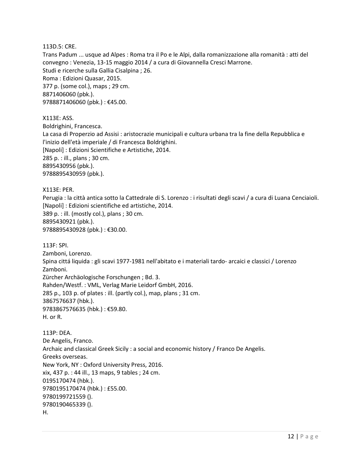113D.5: CRE.

Trans Padum ... usque ad Alpes : Roma tra il Po e le Alpi, dalla romanizzazione alla romanità : atti del convegno : Venezia, 13-15 maggio 2014 / a cura di Giovannella Cresci Marrone. Studi e ricerche sulla Gallia Cisalpina ; 26. Roma : Edizioni Quasar, 2015. 377 p. (some col.), maps ; 29 cm. 8871406060 (pbk.). 9788871406060 (pbk.) : €45.00.

X113E: ASS. Boldrighini, Francesca. La casa di Properzio ad Assisi : aristocrazie municipali e cultura urbana tra la fine della Repubblica e l'inizio dell'età imperiale / di Francesca Boldrighini. [Napoli] : Edizioni Scientifiche e Artistiche, 2014. 285 p. : ill., plans ; 30 cm. 8895430956 (pbk.). 9788895430959 (pbk.).

X113E: PER. Perugia : la città antica sotto la Cattedrale di S. Lorenzo : i risultati degli scavi / a cura di Luana Cenciaioli. [Napoli] : Edizioni scientifiche ed artistiche, 2014. 389 p. : ill. (mostly col.), plans ; 30 cm. 8895430921 (pbk.). 9788895430928 (pbk.) : €30.00.

113F: SPI. Zamboni, Lorenzo. Spina cittá liquida : gli scavi 1977-1981 nell'abitato e i materiali tardo- arcaici e classici / Lorenzo Zamboni. Zürcher Archäologische Forschungen ; Bd. 3. Rahden/Westf. : VML, Verlag Marie Leidorf GmbH, 2016. 285 p., 103 p. of plates : ill. (partly col.), map, plans ; 31 cm. 3867576637 (hbk.). 9783867576635 (hbk.) : €59.80. H. or R.

113P: DEA. De Angelis, Franco. Archaic and classical Greek Sicily : a social and economic history / Franco De Angelis. Greeks overseas. New York, NY : Oxford University Press, 2016. xix, 437 p. : 44 ill., 13 maps, 9 tables ; 24 cm. 0195170474 (hbk.). 9780195170474 (hbk.) : £55.00. 9780199721559 (). 9780190465339 (). H.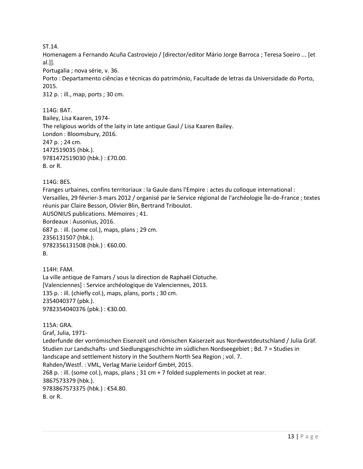ST.14.

Homenagem a Fernando Acuña Castroviejo / [director/editor Mário Jorge Barroca ; Teresa Soeiro ... [et al.]].

Portugalia ; nova série, v. 36.

Porto : Departamento ciências e técnicas do património, Facultade de letras da Universidade do Porto, 2015.

312 p. : ill., map, ports ; 30 cm.

114G: BAT.

Bailey, Lisa Kaaren, 1974- The religious worlds of the laity in late antique Gaul / Lisa Kaaren Bailey. London : Bloomsbury, 2016. 247 p. ; 24 cm. 1472519035 (hbk.). 9781472519030 (hbk.) : £70.00. B. or R.

#### 114G: BES.

Franges urbaines, confins territoriaux : la Gaule dans l'Empire : actes du colloque international : Versailles, 29 février-3 mars 2012 / organisé par le Service régional de l'archéologie Île-de-France ; textes réunis par Claire Besson, Olivier Blin, Bertrand Triboulot. AUSONIUS publications. Mémoires ; 41.

Bordeaux : Ausonius, 2016. 687 p. : ill. (some col.), maps, plans ; 29 cm. 2356131507 (hbk.). 9782356131508 (hbk.) : €60.00. B.

114H: FAM. La ville antique de Famars / sous la direction de Raphaël Clotuche. [Valenciennes] : Service archéologique de Valenciennes, 2013. 135 p. : ill. (chiefly col.), maps, plans, ports ; 30 cm. 2354040377 (pbk.). 9782354040376 (pbk.) : €30.00.

115A: GRA. Graf, Julia, 1971- Lederfunde der vorrömischen Eisenzeit und römischen Kaiserzeit aus Nordwestdeutschland / Julia Gräf. Studien zur Landschafts- und Siedlungsgeschichte im südlichen Nordseegebiet ; Bd. 7 = Studies in landscape and settlement history in the Southern North Sea Region ; vol. 7. Rahden/Westf. : VML, Verlag Marie Leidorf GmbH, 2015. 268 p. : ill. (some col.), maps, plans ; 31 cm + 7 folded supplements in pocket at rear. 3867573379 (hbk.). 9783867573375 (hbk.) : €54.80. B. or R.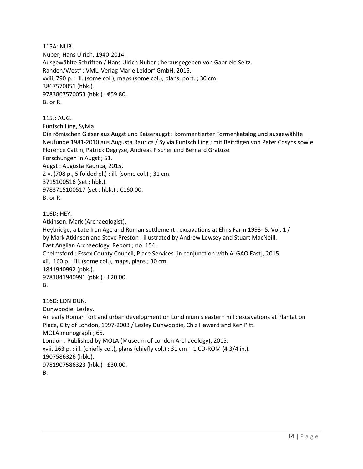115A: NUB. Nuber, Hans Ulrich, 1940-2014. Ausgewählte Schriften / Hans Ulrich Nuber ; herausgegeben von Gabriele Seitz. Rahden/Westf : VML, Verlag Marie Leidorf GmbH, 2015. xviii, 790 p. : ill. (some col.), maps (some col.), plans, port. ; 30 cm. 3867570051 (hbk.). 9783867570053 (hbk.) : €59.80. B. or R.

115J: AUG.

Fünfschilling, Sylvia.

Die römischen Gläser aus Augst und Kaiseraugst : kommentierter Formenkatalog und ausgewählte Neufunde 1981-2010 aus Augusta Raurica / Sylvia Fünfschilling ; mit Beiträgen von Peter Cosyns sowie Florence Cattin, Patrick Degryse, Andreas Fischer und Bernard Gratuze. Forschungen in Augst ; 51. Augst : Augusta Raurica, 2015. 2 v. (708 p., 5 folded pl.) : ill. (some col.) ; 31 cm. 3715100516 (set : hbk.). 9783715100517 (set : hbk.) : €160.00. B. or R.

116D: HEY.

Atkinson, Mark (Archaeologist).

Heybridge, a Late Iron Age and Roman settlement : excavations at Elms Farm 1993- 5. Vol. 1 / by Mark Atkinson and Steve Preston ; illustrated by Andrew Lewsey and Stuart MacNeill. East Anglian Archaeology Report ; no. 154. Chelmsford : Essex County Council, Place Services [in conjunction with ALGAO East], 2015. xii, 160 p. : ill. (some col.), maps, plans ; 30 cm. 1841940992 (pbk.). 9781841940991 (pbk.) : £20.00. B.

116D: LON DUN. Dunwoodie, Lesley. An early Roman fort and urban development on Londinium's eastern hill : excavations at Plantation Place, City of London, 1997-2003 / Lesley Dunwoodie, Chiz Haward and Ken Pitt. MOLA monograph ; 65. London : Published by MOLA (Museum of London Archaeology), 2015. xvii, 263 p. : ill. (chiefly col.), plans (chiefly col.) ; 31 cm + 1 CD-ROM (4 3/4 in.). 1907586326 (hbk.). 9781907586323 (hbk.) : £30.00. B.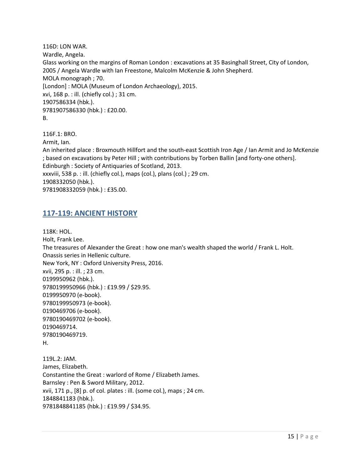116D: LON WAR. Wardle, Angela. Glass working on the margins of Roman London : excavations at 35 Basinghall Street, City of London, 2005 / Angela Wardle with Ian Freestone, Malcolm McKenzie & John Shepherd. MOLA monograph ; 70. [London] : MOLA (Museum of London Archaeology), 2015. xvi, 168 p. : ill. (chiefly col.) ; 31 cm. 1907586334 (hbk.). 9781907586330 (hbk.) : £20.00. B.

116F.1: BRO. Armit, Ian. An inherited place : Broxmouth Hillfort and the south-east Scottish Iron Age / Ian Armit and Jo McKenzie ; based on excavations by Peter Hill ; with contributions by Torben Ballin [and forty-one others]. Edinburgh : Society of Antiquaries of Scotland, 2013. xxxviii, 538 p. : ill. (chiefly col.), maps (col.), plans (col.) ; 29 cm. 1908332050 (hbk.). 9781908332059 (hbk.) : £35.00.

### <span id="page-14-0"></span>**117-119: ANCIENT HISTORY**

118K: HOL. Holt, Frank Lee. The treasures of Alexander the Great : how one man's wealth shaped the world / Frank L. Holt. Onassis series in Hellenic culture. New York, NY : Oxford University Press, 2016. xvii, 295 p. : ill. ; 23 cm. 0199950962 (hbk.). 9780199950966 (hbk.) : £19.99 / \$29.95. 0199950970 (e-book). 9780199950973 (e-book). 0190469706 (e-book). 9780190469702 (e-book). 0190469714. 9780190469719. H. 119L.2: JAM. James, Elizabeth. Constantine the Great : warlord of Rome / Elizabeth James. Barnsley : Pen & Sword Military, 2012. xvii, 171 p., [8] p. of col. plates : ill. (some col.), maps ; 24 cm. 1848841183 (hbk.). 9781848841185 (hbk.) : £19.99 / \$34.95.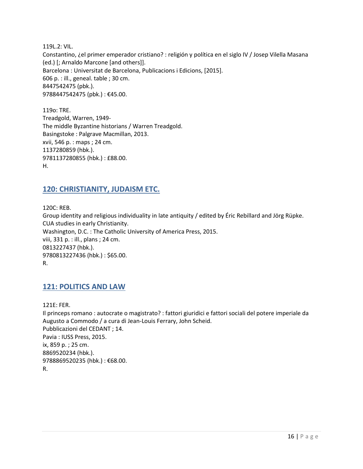119L.2: VIL. Constantino, ¿el primer emperador cristiano? : religión y política en el siglo IV / Josep Vilella Masana (ed.) [; Arnaldo Marcone [and others]]. Barcelona : Universitat de Barcelona, Publicacions i Edicions, [2015]. 606 p. : ill., geneal. table ; 30 cm. 8447542475 (pbk.). 9788447542475 (pbk.) : €45.00.

119o: TRE. Treadgold, Warren, 1949- The middle Byzantine historians / Warren Treadgold. Basingstoke : Palgrave Macmillan, 2013. xvii, 546 p. : maps ; 24 cm. 1137280859 (hbk.). 9781137280855 (hbk.) : £88.00. H.

### <span id="page-15-0"></span>**120: CHRISTIANITY, JUDAISM ETC.**

120C: REB. Group identity and religious individuality in late antiquity / edited by Éric Rebillard and Jörg Rüpke. CUA studies in early Christianity. Washington, D.C. : The Catholic University of America Press, 2015. viii, 331 p. : ill., plans ; 24 cm. 0813227437 (hbk.). 9780813227436 (hbk.) : \$65.00. R.

#### <span id="page-15-1"></span>**121: POLITICS AND LAW**

121E: FER. Il princeps romano : autocrate o magistrato? : fattori giuridici e fattori sociali del potere imperiale da Augusto a Commodo / a cura di Jean-Louis Ferrary, John Scheid. Pubblicazioni del CEDANT ; 14. Pavia : IUSS Press, 2015. ix, 859 p. ; 25 cm. 8869520234 (hbk.). 9788869520235 (hbk.) : €68.00. R.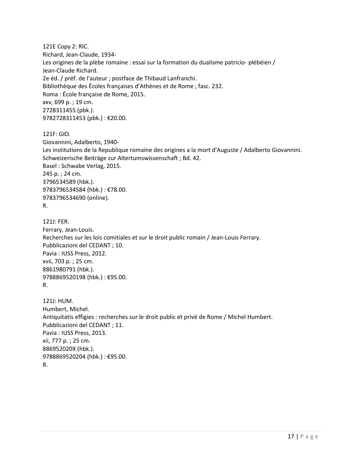121E Copy 2: RIC. Richard, Jean-Claude, 1934- Les origines de la plèbe romaine : essai sur la formation du dualisme patricio- plébéien / Jean-Claude Richard. 2e éd. / préf. de l'auteur ; postface de Thibaud Lanfranchi. Bibliothèque des Écoles françaises d'Athènes et de Rome ; fasc. 232. Roma : École française de Rome, 2015. xxv, 699 p. ; 19 cm. 2728311455 (pbk.). 9782728311453 (pbk.) : €20.00.

121F: GIO.

Giovannini, Adalberto, 1940- Les institutions de la Republique romaine des origines a la mort d'Auguste / Adalberto Giovannini. Schweizerische Beiträge zur Altertumswissenschaft ; Bd. 42. Basel : Schwabe Verlag, 2015. 245 p. ; 24 cm. 3796534589 (hbk.). 9783796534584 (hbk.) : €78.00. 9783796534690 (online). R.

121J: FER. Ferrary, Jean-Louis. Recherches sur les lois comitiales et sur le droit public romain / Jean-Louis Ferrary. Pubblicazioni del CEDANT ; 10. Pavia : IUSS Press, 2012. xvii, 703 p. ; 25 cm. 8861980791 (hbk.). 9788869520198 (hbk.) : €95.00. R.

121J: HUM. Humbert, Michel. Antiquitatis effigies : recherches sur le droit public et privé de Rome / Michel Humbert. Pubblicazioni del CEDANT ; 11. Pavia : IUSS Press, 2013. xii, 777 p. ; 25 cm. 886952020X (hbk.). 9788869520204 (hbk.) : €95.00. R.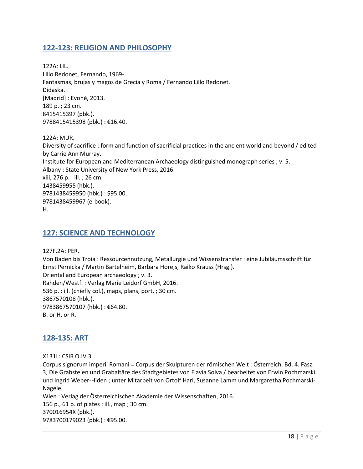#### <span id="page-17-0"></span>**122-123: RELIGION AND PHILOSOPHY**

122A: LIL. Lillo Redonet, Fernando, 1969- Fantasmas, brujas y magos de Grecia y Roma / Fernando Lillo Redonet. Didaska. [Madrid] : Evohé, 2013. 189 p. ; 23 cm. 8415415397 (pbk.). 9788415415398 (pbk.) : €16.40.

122A: MUR. Diversity of sacrifice : form and function of sacrificial practices in the ancient world and beyond / edited by Carrie Ann Murray. Institute for European and Mediterranean Archaeology distinguished monograph series ; v. 5. Albany : State University of New York Press, 2016. xiii, 276 p. : ill. ; 26 cm. 1438459955 (hbk.). 9781438459950 (hbk.) : \$95.00. 9781438459967 (e-book). H.

#### <span id="page-17-1"></span>**127: SCIENCE AND TECHNOLOGY**

127F.2A: PER. Von Baden bis Troia : Ressourcennutzung, Metallurgie und Wissenstransfer : eine Jubiläumsschrift für Ernst Pernicka / Martin Bartelheim, Barbara Horejs, Raiko Krauss (Hrsg.). Oriental and European archaeology ; v. 3. Rahden/Westf. : Verlag Marie Leidorf GmbH, 2016. 536 p. : ill. (chiefly col.), maps, plans, port. ; 30 cm. 3867570108 (hbk.). 9783867570107 (hbk.) : €64.80. B. or H. or R.

#### <span id="page-17-2"></span>**128-135: ART**

X131L: CSIR O.IV.3.

Corpus signorum imperii Romani = Corpus der Skulpturen der römischen Welt : Österreich. Bd. 4. Fasz. 3, Die Grabstelen und Grabaltäre des Stadtgebietes von Flavia Solva / bearbeitet von Erwin Pochmarski und Ingrid Weber-Hiden ; unter Mitarbeit von Ortolf Harl, Susanne Lamm und Margaretha Pochmarski-Nagele.

Wien : Verlag der Österreichischen Akademie der Wissenschaften, 2016. 156 p., 61 p. of plates : ill., map ; 30 cm. 370016954X (pbk.). 9783700179023 (pbk.) : €95.00.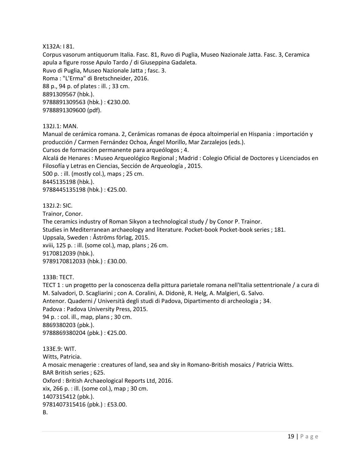#### X132A: I 81.

Corpus vasorum antiquorum Italia. Fasc. 81, Ruvo di Puglia, Museo Nazionale Jatta. Fasc. 3, Ceramica apula a figure rosse Apulo Tardo / di Giuseppina Gadaleta. Ruvo di Puglia, Museo Nazionale Jatta ; fasc. 3. Roma : "L'Erma" di Bretschneider, 2016. 88 p., 94 p. of plates : ill. ; 33 cm. 8891309567 (hbk.). 9788891309563 (hbk.) : €230.00. 9788891309600 (pdf).

#### 132J.1: MAN.

Manual de cerámica romana. 2, Cerámicas romanas de época altoimperial en Hispania : importación y producción / Carmen Fernández Ochoa, Ángel Morillo, Mar Zarzalejos (eds.).

Cursos de formación permanente para arqueólogos ; 4.

Alcalá de Henares : Museo Arqueológico Regional ; Madrid : Colegio Oficial de Doctores y Licenciados en Filosofía y Letras en Ciencias, Sección de Arqueología , 2015.

500 p. : ill. (mostly col.), maps ; 25 cm.

8445135198 (hbk.).

9788445135198 (hbk.) : €25.00.

132J.2: SIC.

Trainor, Conor.

The ceramics industry of Roman Sikyon a technological study / by Conor P. Trainor. Studies in Mediterranean archaeology and literature. Pocket-book Pocket-book series ; 181. Uppsala, Sweden : Åströms förlag, 2015. xviii, 125 p. : ill. (some col.), map, plans ; 26 cm. 9170812039 (hbk.). 9789170812033 (hbk.) : £30.00.

133B: TECT.

TECT 1 : un progetto per la conoscenza della pittura parietale romana nell'Italia settentrionale / a cura di M. Salvadori, D. Scagliarini ; con A. Coralini, A. Didonè, R. Helg, A. Malgieri, G. Salvo. Antenor. Quaderni / Università degli studi di Padova, Dipartimento di archeologia ; 34. Padova : Padova University Press, 2015. 94 p. : col. ill., map, plans ; 30 cm. 8869380203 (pbk.). 9788869380204 (pbk.) : €25.00.

133E.9: WIT. Witts, Patricia. A mosaic menagerie : creatures of land, sea and sky in Romano-British mosaics / Patricia Witts. BAR British series ; 625. Oxford : British Archaeological Reports Ltd, 2016. xix, 266 p. : ill. (some col.), map ; 30 cm. 1407315412 (pbk.). 9781407315416 (pbk.) : £53.00. B.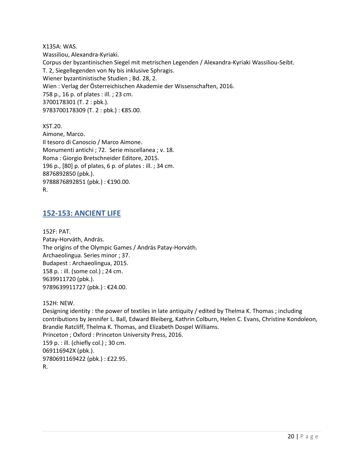X135A: WAS. Wassiliou, Alexandra-Kyriaki. Corpus der byzantinischen Siegel mit metrischen Legenden / Alexandra-Kyriaki Wassiliou-Seibt. T. 2, Siegellegenden von Ny bis inklusive Sphragis. Wiener byzantinistische Studien ; Bd. 28, 2. Wien : Verlag der Österreichischen Akademie der Wissenschaften, 2016. 758 p., 16 p. of plates : ill. ; 23 cm. 3700178301 (T. 2 : pbk.). 9783700178309 (T. 2 : pbk.) : €85.00.

XST.20. Aimone, Marco. Il tesoro di Canoscio / Marco Aimone. Monumenti antichi ; 72. Serie miscellanea ; v. 18. Roma : Giorgio Bretschneider Editore, 2015. 196 p., [80] p. of plates, 6 p. of plates : ill. ; 34 cm. 8876892850 (pbk.). 9788876892851 (pbk.) : €190.00. R.

#### <span id="page-19-0"></span>**152-153: ANCIENT LIFE**

152F: PAT. Patay-Horváth, András. The origins of the Olympic Games / András Patay-Horváth. Archaeolingua. Series minor ; 37. Budapest : Archaeolingua, 2015. 158 p. : ill. (some col.) ; 24 cm. 9639911720 (pbk.). 9789639911727 (pbk.) : €24.00.

152H: NEW.

Designing identity : the power of textiles in late antiquity / edited by Thelma K. Thomas ; including contributions by Jennifer L. Ball, Edward Bleiberg, Kathrin Colburn, Helen C. Evans, Christine Kondoleon, Brandie Ratcliff, Thelma K. Thomas, and Elizabeth Dospel Williams. Princeton ; Oxford : Princeton University Press, 2016. 159 p. : ill. (chiefly col.) ; 30 cm. 069116942X (pbk.). 9780691169422 (pbk.) : £22.95. R.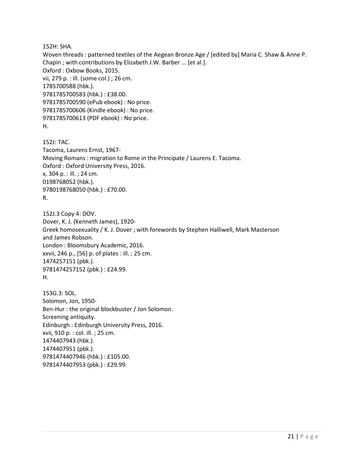152H: SHA.

Woven threads : patterned textiles of the Aegean Bronze Age / [edited by] Maria C. Shaw & Anne P. Chapin ; with contributions by Elizabeth J.W. Barber ... [et al.]. Oxford : Oxbow Books, 2015. vii, 279 p. : ill. (some col.) ; 26 cm. 1785700588 (hbk.). 9781785700583 (hbk.) : £38.00. 9781785700590 (ePub ebook) : No price. 9781785700606 (Kindle ebook) : No price. 9781785700613 (PDF ebook) : No price. H.

152J: TAC. Tacoma, Laurens Ernst, 1967- Moving Romans : migration to Rome in the Principate / Laurens E. Tacoma. Oxford : Oxford University Press, 2016. x, 304 p. : ill. ; 24 cm. 0198768052 (hbk.). 9780198768050 (hbk.) : £70.00. R.

152J.3 Copy 4: DOV. Dover, K. J. (Kenneth James), 1920- Greek homosexuality / K. J. Dover ; with forewords by Stephen Halliwell, Mark Masterson and James Robson. London : Bloomsbury Academic, 2016. xxvii, 246 p., [56] p. of plates : ill. ; 25 cm. 1474257151 (pbk.). 9781474257152 (pbk.) : £24.99. H.

153G.3: SOL. Solomon, Jon, 1950- Ben-Hur : the original blockbuster / Jon Solomon. Screening antiquity. Edinburgh : Edinburgh University Press, 2016. xvii, 910 p. : col. ill. ; 25 cm. 1474407943 (hbk.). 1474407951 (pbk.). 9781474407946 (hbk.) : £105.00. 9781474407953 (pbk.) : £29.99.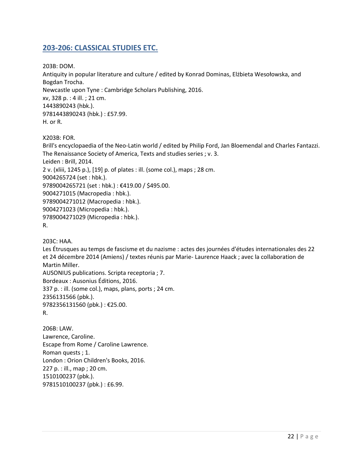## <span id="page-21-0"></span>**203-206: CLASSICAL STUDIES ETC.**

203B: DOM. Antiquity in popular literature and culture / edited by Konrad Dominas, Elżbieta Wesołowska, and Bogdan Trocha. Newcastle upon Tyne : Cambridge Scholars Publishing, 2016. xv, 328 p. : 4 ill. ; 21 cm. 1443890243 (hbk.). 9781443890243 (hbk.) : £57.99. H. or R.

X203B: FOR.

Brill's encyclopaedia of the Neo-Latin world / edited by Philip Ford, Jan Bloemendal and Charles Fantazzi. The Renaissance Society of America, Texts and studies series ; v. 3. Leiden : Brill, 2014. 2 v. (xliii, 1245 p.), [19] p. of plates : ill. (some col.), maps ; 28 cm. 9004265724 (set : hbk.). 9789004265721 (set : hbk.) : €419.00 / \$495.00. 9004271015 (Macropedia : hbk.). 9789004271012 (Macropedia : hbk.). 9004271023 (Micropedia : hbk.). 9789004271029 (Micropedia : hbk.). R.

203C: HAA.

Les Étrusques au temps de fascisme et du nazisme : actes des journées d'études internationales des 22 et 24 décembre 2014 (Amiens) / textes réunis par Marie- Laurence Haack ; avec la collaboration de Martin Miller. AUSONIUS publications. Scripta receptoria ; 7. Bordeaux : Ausonius Éditions, 2016. 337 p. : ill. (some col.), maps, plans, ports ; 24 cm. 2356131566 (pbk.). 9782356131560 (pbk.) : €25.00. R.

206B: LAW. Lawrence, Caroline. Escape from Rome / Caroline Lawrence. Roman quests ; 1. London : Orion Children's Books, 2016. 227 p. : ill., map ; 20 cm. 1510100237 (pbk.). 9781510100237 (pbk.) : £6.99.